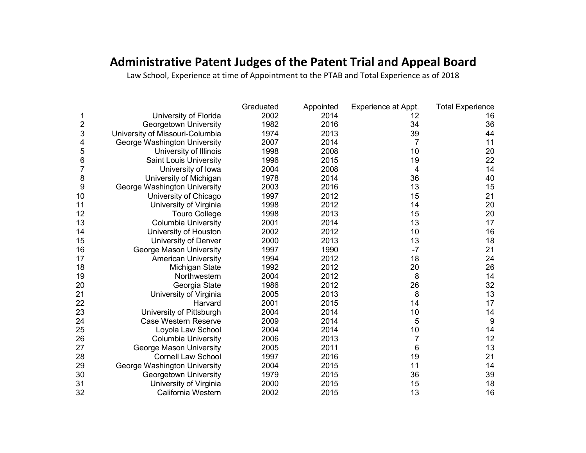## **Administrative Patent Judges of the Patent Trial and Appeal Board**

Law School, Experience at time of Appointment to the PTAB and Total Experience as of 2018

|    |                                 | Graduated | Appointed | Experience at Appt. | <b>Total Experience</b> |
|----|---------------------------------|-----------|-----------|---------------------|-------------------------|
|    | University of Florida           | 2002      | 2014      | 12                  | 16                      |
| 2  | Georgetown University           | 1982      | 2016      | 34                  | 36                      |
| 3  | University of Missouri-Columbia | 1974      | 2013      | 39                  | 44                      |
| 4  | George Washington University    | 2007      | 2014      | 7                   | 11                      |
| 5  | University of Illinois          | 1998      | 2008      | 10                  | 20                      |
| 6  | <b>Saint Louis University</b>   | 1996      | 2015      | 19                  | 22                      |
| 7  | University of lowa              | 2004      | 2008      | 4                   | 14                      |
| 8  | University of Michigan          | 1978      | 2014      | 36                  | 40                      |
| 9  | George Washington University    | 2003      | 2016      | 13                  | 15                      |
| 10 | University of Chicago           | 1997      | 2012      | 15                  | 21                      |
| 11 | University of Virginia          | 1998      | 2012      | 14                  | 20                      |
| 12 | <b>Touro College</b>            | 1998      | 2013      | 15                  | 20                      |
| 13 | <b>Columbia University</b>      | 2001      | 2014      | 13                  | 17                      |
| 14 | University of Houston           | 2002      | 2012      | 10                  | 16                      |
| 15 | University of Denver            | 2000      | 2013      | 13                  | 18                      |
| 16 | George Mason University         | 1997      | 1990      | $-7$                | 21                      |
| 17 | <b>American University</b>      | 1994      | 2012      | 18                  | 24                      |
| 18 | Michigan State                  | 1992      | 2012      | 20                  | 26                      |
| 19 | Northwestern                    | 2004      | 2012      | 8                   | 14                      |
| 20 | Georgia State                   | 1986      | 2012      | 26                  | 32                      |
| 21 | University of Virginia          | 2005      | 2013      | 8                   | 13                      |
| 22 | Harvard                         | 2001      | 2015      | 14                  | 17                      |
| 23 | University of Pittsburgh        | 2004      | 2014      | 10                  | 14                      |
| 24 | Case Western Reserve            | 2009      | 2014      | 5                   | 9                       |
| 25 | Loyola Law School               | 2004      | 2014      | 10                  | 14                      |
| 26 | <b>Columbia University</b>      | 2006      | 2013      | $\overline{7}$      | 12                      |
| 27 | George Mason University         | 2005      | 2011      | 6                   | 13                      |
| 28 | <b>Cornell Law School</b>       | 1997      | 2016      | 19                  | 21                      |
| 29 | George Washington University    | 2004      | 2015      | 11                  | 14                      |
| 30 | Georgetown University           | 1979      | 2015      | 36                  | 39                      |
| 31 | University of Virginia          | 2000      | 2015      | 15                  | 18                      |
| 32 | California Western              | 2002      | 2015      | 13                  | 16                      |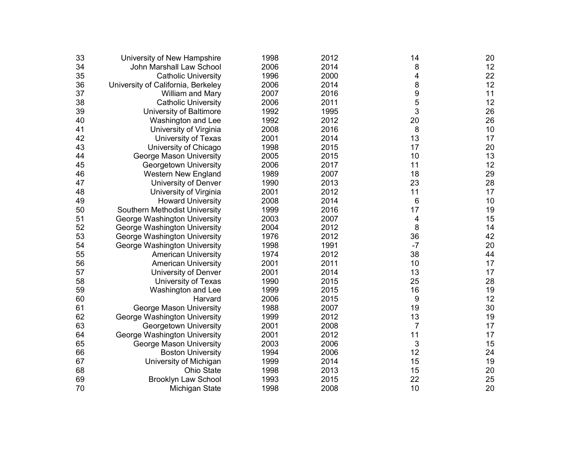| 33 | University of New Hampshire        | 1998 | 2012 | 14             | 20 |
|----|------------------------------------|------|------|----------------|----|
| 34 | John Marshall Law School           | 2006 | 2014 | 8              | 12 |
| 35 | <b>Catholic University</b>         | 1996 | 2000 | 4              | 22 |
| 36 | University of California, Berkeley | 2006 | 2014 | 8              | 12 |
| 37 | William and Mary                   | 2007 | 2016 | 9              | 11 |
| 38 | <b>Catholic University</b>         | 2006 | 2011 | 5              | 12 |
| 39 | University of Baltimore            | 1992 | 1995 | 3              | 26 |
| 40 | Washington and Lee                 | 1992 | 2012 | 20             | 26 |
| 41 | University of Virginia             | 2008 | 2016 | 8              | 10 |
| 42 | University of Texas                | 2001 | 2014 | 13             | 17 |
| 43 | University of Chicago              | 1998 | 2015 | 17             | 20 |
| 44 | George Mason University            | 2005 | 2015 | 10             | 13 |
| 45 | Georgetown University              | 2006 | 2017 | 11             | 12 |
| 46 | Western New England                | 1989 | 2007 | 18             | 29 |
| 47 | University of Denver               | 1990 | 2013 | 23             | 28 |
| 48 | University of Virginia             | 2001 | 2012 | 11             | 17 |
| 49 | <b>Howard University</b>           | 2008 | 2014 | 6              | 10 |
| 50 | Southern Methodist University      | 1999 | 2016 | 17             | 19 |
| 51 | George Washington University       | 2003 | 2007 | 4              | 15 |
| 52 | George Washington University       | 2004 | 2012 | 8              | 14 |
| 53 | George Washington University       | 1976 | 2012 | 36             | 42 |
| 54 | George Washington University       | 1998 | 1991 | $-7$           | 20 |
| 55 | <b>American University</b>         | 1974 | 2012 | 38             | 44 |
| 56 | <b>American University</b>         | 2001 | 2011 | 10             | 17 |
| 57 | University of Denver               | 2001 | 2014 | 13             | 17 |
| 58 | University of Texas                | 1990 | 2015 | 25             | 28 |
| 59 | Washington and Lee                 | 1999 | 2015 | 16             | 19 |
| 60 | Harvard                            | 2006 | 2015 | 9              | 12 |
| 61 | George Mason University            | 1988 | 2007 | 19             | 30 |
| 62 | George Washington University       | 1999 | 2012 | 13             | 19 |
| 63 | Georgetown University              | 2001 | 2008 | $\overline{7}$ | 17 |
| 64 | George Washington University       | 2001 | 2012 | 11             | 17 |
| 65 | George Mason University            | 2003 | 2006 | 3              | 15 |
| 66 | <b>Boston University</b>           | 1994 | 2006 | 12             | 24 |
| 67 | University of Michigan             | 1999 | 2014 | 15             | 19 |
| 68 | Ohio State                         | 1998 | 2013 | 15             | 20 |
| 69 | <b>Brooklyn Law School</b>         | 1993 | 2015 | 22             | 25 |
| 70 | Michigan State                     | 1998 | 2008 | 10             | 20 |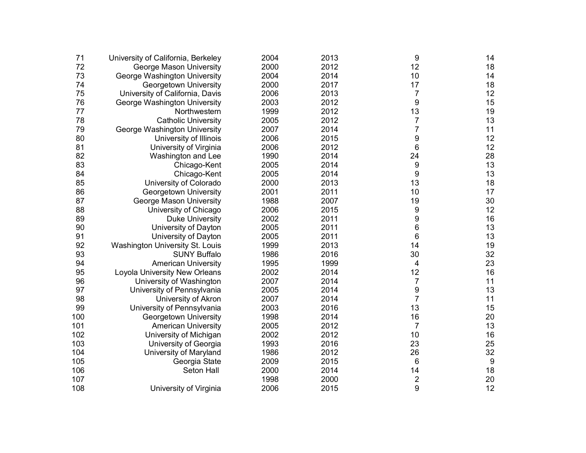| 71  | University of California, Berkeley | 2004 | 2013 | 9                       | 14               |
|-----|------------------------------------|------|------|-------------------------|------------------|
| 72  | George Mason University            | 2000 | 2012 | 12                      | 18               |
| 73  | George Washington University       | 2004 | 2014 | 10                      | 14               |
| 74  | Georgetown University              | 2000 | 2017 | 17                      | 18               |
| 75  | University of California, Davis    | 2006 | 2013 | 7                       | 12               |
| 76  | George Washington University       | 2003 | 2012 | 9                       | 15               |
| 77  | Northwestern                       | 1999 | 2012 | 13                      | 19               |
| 78  | <b>Catholic University</b>         | 2005 | 2012 | 7                       | 13               |
| 79  | George Washington University       | 2007 | 2014 | $\overline{7}$          | 11               |
| 80  | University of Illinois             | 2006 | 2015 | 9                       | 12               |
| 81  | University of Virginia             | 2006 | 2012 | $\,6$                   | 12               |
| 82  | Washington and Lee                 | 1990 | 2014 | 24                      | 28               |
| 83  | Chicago-Kent                       | 2005 | 2014 | 9                       | 13               |
| 84  | Chicago-Kent                       | 2005 | 2014 | 9                       | 13               |
| 85  | University of Colorado             | 2000 | 2013 | 13                      | 18               |
| 86  | Georgetown University              | 2001 | 2011 | 10                      | 17               |
| 87  | George Mason University            | 1988 | 2007 | 19                      | 30               |
| 88  | University of Chicago              | 2006 | 2015 | 9                       | 12               |
| 89  | <b>Duke University</b>             | 2002 | 2011 | 9                       | 16               |
| 90  | University of Dayton               | 2005 | 2011 | 6                       | 13               |
| 91  | University of Dayton               | 2005 | 2011 | 6                       | 13               |
| 92  | Washington University St. Louis    | 1999 | 2013 | 14                      | 19               |
| 93  | <b>SUNY Buffalo</b>                | 1986 | 2016 | 30                      | 32               |
| 94  | <b>American University</b>         | 1995 | 1999 | 4                       | 23               |
| 95  | Loyola University New Orleans      | 2002 | 2014 | 12                      | 16               |
| 96  | University of Washington           | 2007 | 2014 | $\overline{7}$          | 11               |
| 97  | University of Pennsylvania         | 2005 | 2014 | 9                       | 13               |
| 98  | University of Akron                | 2007 | 2014 | $\overline{7}$          | 11               |
| 99  | University of Pennsylvania         | 2003 | 2016 | 13                      | 15               |
| 100 | Georgetown University              | 1998 | 2014 | 16                      | 20               |
| 101 | <b>American University</b>         | 2005 | 2012 | $\overline{7}$          | 13               |
| 102 | University of Michigan             | 2002 | 2012 | 10                      | 16               |
| 103 | University of Georgia              | 1993 | 2016 | 23                      | 25               |
| 104 | University of Maryland             | 1986 | 2012 | 26                      | 32               |
| 105 | Georgia State                      | 2009 | 2015 | 6                       | $\boldsymbol{9}$ |
| 106 | Seton Hall                         | 2000 | 2014 | 14                      | 18               |
| 107 |                                    | 1998 | 2000 | $\overline{\mathbf{c}}$ | 20               |
| 108 | University of Virginia             | 2006 | 2015 | 9                       | 12               |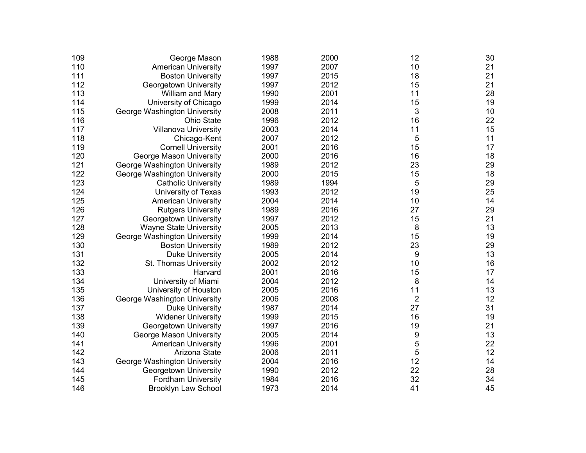| 109 | George Mason                  | 1988 | 2000 | 12             | 30   |
|-----|-------------------------------|------|------|----------------|------|
| 110 | <b>American University</b>    | 1997 | 2007 | 10             | 21   |
| 111 | <b>Boston University</b>      | 1997 | 2015 | 18             | 21   |
| 112 | Georgetown University         | 1997 | 2012 | 15             | 21   |
| 113 | William and Mary              | 1990 | 2001 | 11             | 28   |
| 114 | University of Chicago         | 1999 | 2014 | 15             | 19   |
| 115 | George Washington University  | 2008 | 2011 | 3              | $10$ |
| 116 | <b>Ohio State</b>             | 1996 | 2012 | 16             | 22   |
| 117 | <b>Villanova University</b>   | 2003 | 2014 | 11             | 15   |
| 118 | Chicago-Kent                  | 2007 | 2012 | 5              | 11   |
| 119 | <b>Cornell University</b>     | 2001 | 2016 | 15             | 17   |
| 120 | George Mason University       | 2000 | 2016 | 16             | 18   |
| 121 | George Washington University  | 1989 | 2012 | 23             | 29   |
| 122 | George Washington University  | 2000 | 2015 | 15             | 18   |
| 123 | <b>Catholic University</b>    | 1989 | 1994 | 5              | 29   |
| 124 | University of Texas           | 1993 | 2012 | 19             | 25   |
| 125 | <b>American University</b>    | 2004 | 2014 | 10             | 14   |
| 126 | <b>Rutgers University</b>     | 1989 | 2016 | 27             | 29   |
| 127 | Georgetown University         | 1997 | 2012 | 15             | 21   |
| 128 | <b>Wayne State University</b> | 2005 | 2013 | 8              | 13   |
| 129 | George Washington University  | 1999 | 2014 | 15             | 19   |
| 130 | <b>Boston University</b>      | 1989 | 2012 | 23             | 29   |
| 131 | <b>Duke University</b>        | 2005 | 2014 | 9              | 13   |
| 132 | St. Thomas University         | 2002 | 2012 | 10             | 16   |
| 133 | Harvard                       | 2001 | 2016 | 15             | 17   |
| 134 | University of Miami           | 2004 | 2012 | 8              | 14   |
| 135 | University of Houston         | 2005 | 2016 | 11             | 13   |
| 136 | George Washington University  | 2006 | 2008 | $\overline{2}$ | 12   |
| 137 | <b>Duke University</b>        | 1987 | 2014 | 27             | 31   |
| 138 | <b>Widener University</b>     | 1999 | 2015 | 16             | 19   |
| 139 | Georgetown University         | 1997 | 2016 | 19             | 21   |
| 140 | George Mason University       | 2005 | 2014 | 9              | 13   |
| 141 | <b>American University</b>    | 1996 | 2001 | 5              | 22   |
| 142 | Arizona State                 | 2006 | 2011 | 5              | 12   |
| 143 | George Washington University  | 2004 | 2016 | 12             | 14   |
| 144 | Georgetown University         | 1990 | 2012 | 22             | 28   |
| 145 | <b>Fordham University</b>     | 1984 | 2016 | 32             | 34   |
| 146 | Brooklyn Law School           | 1973 | 2014 | 41             | 45   |